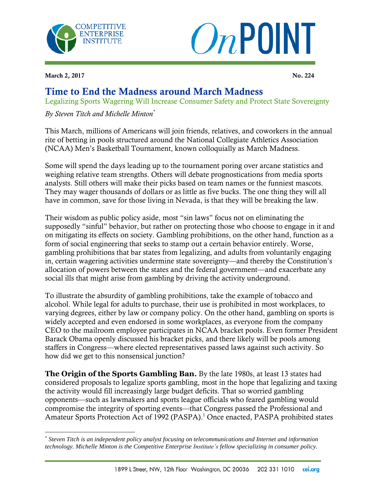



March 2, 2017 No. 224

 $\overline{a}$ 

## Time to End the Madness around March Madness

Legalizing Sports Wagering Will Increase Consumer Safety and Protect State Sovereignty

## *By Steven Titch and Michelle Minton\**

This March, millions of Americans will join friends, relatives, and coworkers in the annual rite of betting in pools structured around the National Collegiate Athletics Association (NCAA) Men's Basketball Tournament, known colloquially as March Madness.

Some will spend the days leading up to the tournament poring over arcane statistics and weighing relative team strengths. Others will debate prognostications from media sports analysts. Still others will make their picks based on team names or the funniest mascots. They may wager thousands of dollars or as little as five bucks. The one thing they will all have in common, save for those living in Nevada, is that they will be breaking the law.

Their wisdom as public policy aside, most "sin laws" focus not on eliminating the supposedly "sinful" behavior, but rather on protecting those who choose to engage in it and on mitigating its effects on society. Gambling prohibitions, on the other hand, function as a form of social engineering that seeks to stamp out a certain behavior entirely. Worse, gambling prohibitions that bar states from legalizing, and adults from voluntarily engaging in, certain wagering activities undermine state sovereignty—and thereby the Constitution's allocation of powers between the states and the federal government—and exacerbate any social ills that might arise from gambling by driving the activity underground.

To illustrate the absurdity of gambling prohibitions, take the example of tobacco and alcohol. While legal for adults to purchase, their use is prohibited in most workplaces, to varying degrees, either by law or company policy. On the other hand, gambling on sports is widely accepted and even endorsed in some workplaces, as everyone from the company CEO to the mailroom employee participates in NCAA bracket pools. Even former President Barack Obama openly discussed his bracket picks, and there likely will be pools among staffers in Congress—where elected representatives passed laws against such activity. So how did we get to this nonsensical junction?

**The Origin of the Sports Gambling Ban**. By the late 1980s, at least 13 states had considered proposals to legalize sports gambling, most in the hope that legalizing and taxing the activity would fill increasingly large budget deficits. That so worried gambling opponents—such as lawmakers and sports league officials who feared gambling would compromise the integrity of sporting events—that Congress passed the Professional and Amateur Sports Protection Act of 1992 (PASPA).<sup>1</sup> Once enacted, PASPA prohibited states

<sup>\*</sup> *Steven Titch is an independent policy analyst focusing on telecommunications and Internet and information technology. Michelle Minton is the Competitive Enterprise Institute's fellow specializing in consumer policy.*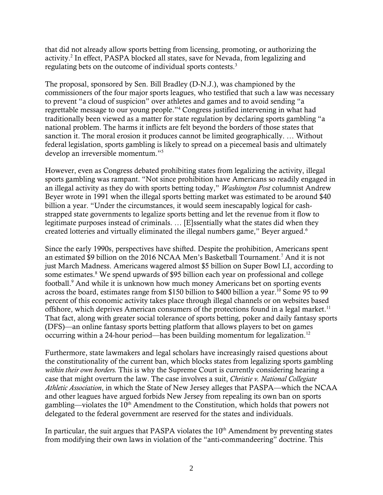that did not already allow sports betting from licensing, promoting, or authorizing the activity.<sup>2</sup> In effect, PASPA blocked all states, save for Nevada, from legalizing and regulating bets on the outcome of individual sports contests.<sup>3</sup>

The proposal, sponsored by Sen. Bill Bradley (D-N.J.), was championed by the commissioners of the four major sports leagues, who testified that such a law was necessary to prevent "a cloud of suspicion" over athletes and games and to avoid sending "a regrettable message to our young people."<sup>4</sup> Congress justified intervening in what had traditionally been viewed as a matter for state regulation by declaring sports gambling "a national problem. The harms it inflicts are felt beyond the borders of those states that sanction it. The moral erosion it produces cannot be limited geographically. … Without federal legislation, sports gambling is likely to spread on a piecemeal basis and ultimately develop an irreversible momentum." 5

However, even as Congress debated prohibiting states from legalizing the activity, illegal sports gambling was rampant. "Not since prohibition have Americans so readily engaged in an illegal activity as they do with sports betting today," *Washington Post* columnist Andrew Beyer wrote in 1991 when the illegal sports betting market was estimated to be around \$40 billion a year. "Under the circumstances, it would seem inescapably logical for cashstrapped state governments to legalize sports betting and let the revenue from it flow to legitimate purposes instead of criminals. … [E]ssentially what the states did when they created lotteries and virtually eliminated the illegal numbers game," Beyer argued.<sup>6</sup>

Since the early 1990s, perspectives have shifted. Despite the prohibition, Americans spent an estimated \$9 billion on the 2016 NCAA Men's Basketball Tournament.<sup>7</sup> And it is not just March Madness. Americans wagered almost \$5 billion on Super Bowl LI, according to some estimates.<sup>8</sup> We spend upwards of \$95 billion each year on professional and college football.<sup>9</sup> And while it is unknown how much money Americans bet on sporting events across the board, estimates range from \$150 billion to \$400 billion a year.<sup>10</sup> Some 95 to 99 percent of this economic activity takes place through illegal channels or on websites based offshore, which deprives American consumers of the protections found in a legal market.<sup>11</sup> That fact, along with greater social tolerance of sports betting, poker and daily fantasy sports (DFS)—an online fantasy sports betting platform that allows players to bet on games occurring within a 24-hour period—has been building momentum for legalization.<sup>12</sup>

Furthermore, state lawmakers and legal scholars have increasingly raised questions about the constitutionality of the current ban, which blocks states from legalizing sports gambling *within their own borders.* This is why the Supreme Court is currently considering hearing a case that might overturn the law. The case involves a suit, *Christie v. National Collegiate Athletic Association*, in which the State of New Jersey alleges that PASPA—which the NCAA and other leagues have argued forbids New Jersey from repealing its own ban on sports gambling—violates the 10<sup>th</sup> Amendment to the Constitution, which holds that powers not delegated to the federal government are reserved for the states and individuals.

In particular, the suit argues that PASPA violates the  $10<sup>th</sup>$  Amendment by preventing states from modifying their own laws in violation of the "anti-commandeering" doctrine. This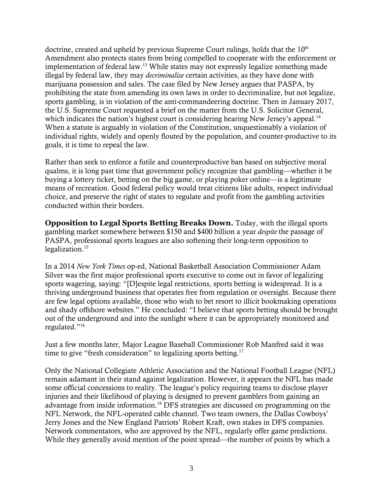doctrine, created and upheld by previous Supreme Court rulings, holds that the  $10<sup>th</sup>$ Amendment also protects states from being compelled to cooperate with the enforcement or implementation of federal law.<sup>13</sup> While states may not expressly legalize something made illegal by federal law, they may *decriminalize* certain activities, as they have done with marijuana possession and sales. The case filed by New Jersey argues that PASPA, by prohibiting the state from amending its own laws in order to decriminalize, but not legalize, sports gambling, is in violation of the anti-commandeering doctrine. Then in January 2017, the U.S. Supreme Court requested a brief on the matter from the U.S. Solicitor General, which indicates the nation's highest court is considering hearing New Jersey's appeal.<sup>14</sup> When a statute is arguably in violation of the Constitution, unquestionably a violation of individual rights, widely and openly flouted by the population, and counter-productive to its goals, it is time to repeal the law.

Rather than seek to enforce a futile and counterproductive ban based on subjective moral qualms, it is long past time that government policy recognize that gambling—whether it be buying a lottery ticket, betting on the big game, or playing poker online—is a legitimate means of recreation. Good federal policy would treat citizens like adults, respect individual choice, and preserve the right of states to regulate and profit from the gambling activities conducted within their borders.

**Opposition to Legal Sports Betting Breaks Down**. Today, with the illegal sports gambling market somewhere between \$150 and \$400 billion a year *despite* the passage of PASPA, professional sports leagues are also softening their long-term opposition to legalization.<sup>15</sup>

In a 2014 *New York Times* op-ed, National Basketball Association Commissioner Adam Silver was the first major professional sports executive to come out in favor of legalizing sports wagering, saying: "[D]espite legal restrictions, sports betting is widespread. It is a thriving underground business that operates free from regulation or oversight. Because there are few legal options available, those who wish to bet resort to illicit bookmaking operations and shady offshore websites." He concluded: "I believe that sports betting should be brought out of the underground and into the sunlight where it can be appropriately monitored and regulated."<sup>16</sup>

Just a few months later, Major League Baseball Commissioner Rob Manfred said it was time to give "fresh consideration" to legalizing sports betting.<sup>17</sup>

Only the National Collegiate Athletic Association and the National Football League (NFL) remain adamant in their stand against legalization. However, it appears the NFL has made some official concessions to reality. The league's policy requiring teams to disclose player injuries and their likelihood of playing is designed to prevent gamblers from gaining an advantage from inside information.<sup>18</sup> DFS strategies are discussed on programming on the NFL Network, the NFL-operated cable channel. Two team owners, the Dallas Cowboys' Jerry Jones and the New England Patriots' Robert Kraft, own stakes in DFS companies. Network commentators, who are approved by the NFL, regularly offer game predictions. While they generally avoid mention of the point spread—the number of points by which a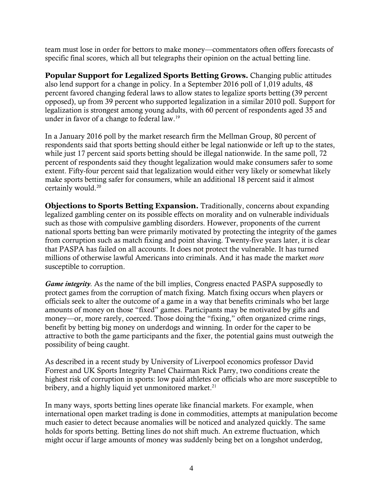team must lose in order for bettors to make money—commentators often offers forecasts of specific final scores, which all but telegraphs their opinion on the actual betting line.

**Popular Support for Legalized Sports Betting Grows**. Changing public attitudes also lend support for a change in policy. In a September 2016 poll of 1,019 adults, 48 percent favored changing federal laws to allow states to legalize sports betting (39 percent opposed), up from 39 percent who supported legalization in a similar 2010 poll. Support for legalization is strongest among young adults, with 60 percent of respondents aged 35 and under in favor of a change to federal law.<sup>19</sup>

In a January 2016 poll by the market research firm the Mellman Group, 80 percent of respondents said that sports betting should either be legal nationwide or left up to the states, while just 17 percent said sports betting should be illegal nationwide. In the same poll, 72 percent of respondents said they thought legalization would make consumers safer to some extent. Fifty-four percent said that legalization would either very likely or somewhat likely make sports betting safer for consumers, while an additional 18 percent said it almost certainly would.<sup>20</sup>

**Objections to Sports Betting Expansion**. Traditionally, concerns about expanding legalized gambling center on its possible effects on morality and on vulnerable individuals such as those with compulsive gambling disorders. However, proponents of the current national sports betting ban were primarily motivated by protecting the integrity of the games from corruption such as match fixing and point shaving. Twenty-five years later, it is clear that PASPA has failed on all accounts. It does not protect the vulnerable. It has turned millions of otherwise lawful Americans into criminals. And it has made the market *more* susceptible to corruption.

*Game integrity.* As the name of the bill implies, Congress enacted PASPA supposedly to protect games from the corruption of match fixing. Match fixing occurs when players or officials seek to alter the outcome of a game in a way that benefits criminals who bet large amounts of money on those "fixed" games. Participants may be motivated by gifts and money—or, more rarely, coerced. Those doing the "fixing," often organized crime rings, benefit by betting big money on underdogs and winning. In order for the caper to be attractive to both the game participants and the fixer, the potential gains must outweigh the possibility of being caught.

As described in a recent study by University of Liverpool economics professor David Forrest and UK Sports Integrity Panel Chairman Rick Parry, two conditions create the highest risk of corruption in sports: low paid athletes or officials who are more susceptible to bribery, and a highly liquid yet unmonitored market. $21$ 

In many ways, sports betting lines operate like financial markets. For example, when international open market trading is done in commodities, attempts at manipulation become much easier to detect because anomalies will be noticed and analyzed quickly. The same holds for sports betting. Betting lines do not shift much. An extreme fluctuation, which might occur if large amounts of money was suddenly being bet on a longshot underdog,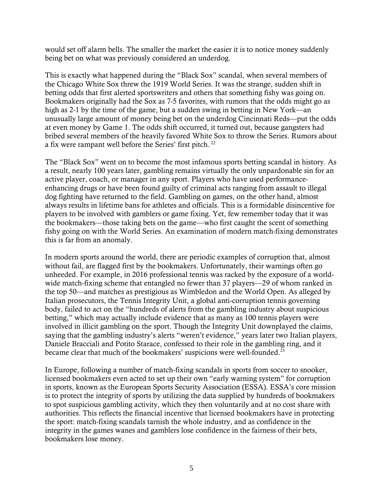would set off alarm bells. The smaller the market the easier it is to notice money suddenly being bet on what was previously considered an underdog.

This is exactly what happened during the "Black Sox" scandal, when several members of the Chicago White Sox threw the 1919 World Series. It was the strange, sudden shift in betting odds that first alerted sportswriters and others that something fishy was going on. Bookmakers originally had the Sox as 7-5 favorites, with rumors that the odds might go as high as 2-1 by the time of the game, but a sudden swing in betting in New York—an unusually large amount of money being bet on the underdog Cincinnati Reds—put the odds at even money by Game 1. The odds shift occurred, it turned out, because gangsters had bribed several members of the heavily favored White Sox to throw the Series. Rumors about a fix were rampant well before the Series' first pitch. <sup>22</sup>

The "Black Sox" went on to become the most infamous sports betting scandal in history. As a result, nearly 100 years later, gambling remains virtually the only unpardonable sin for an active player, coach, or manager in any sport. Players who have used performanceenhancing drugs or have been found guilty of criminal acts ranging from assault to illegal dog fighting have returned to the field. Gambling on games, on the other hand, almost always results in lifetime bans for athletes and officials. This is a formidable disincentive for players to be involved with gamblers or game fixing. Yet, few remember today that it was the bookmakers—those taking bets on the game—who first caught the scent of something fishy going on with the World Series. An examination of modern match-fixing demonstrates this is far from an anomaly.

In modern sports around the world, there are periodic examples of corruption that, almost without fail, are flagged first by the bookmakers. Unfortunately, their warnings often go unheeded. For example, in 2016 professional tennis was racked by the exposure of a worldwide match-fixing scheme that entangled no fewer than 37 players—29 of whom ranked in the top 50—and matches as prestigious as Wimbledon and the World Open. As alleged by Italian prosecutors, the Tennis Integrity Unit, a global anti-corruption tennis governing body, failed to act on the "hundreds of alerts from the gambling industry about suspicious betting," which may actually include evidence that as many as 100 tennis players were involved in illicit gambling on the sport. Though the Integrity Unit downplayed the claims, saying that the gambling industry's alerts "weren't evidence," years later two Italian players, Daniele Bracciali and Potito Starace, confessed to their role in the gambling ring, and it became clear that much of the bookmakers' suspicions were well-founded.<sup>23</sup>

In Europe, following a number of match-fixing scandals in sports from soccer to snooker, licensed bookmakers even acted to set up their own "early warning system" for corruption in sports, known as the European Sports Security Association (ESSA). ESSA's core mission is to protect the integrity of sports by utilizing the data supplied by hundreds of bookmakers to spot suspicious gambling activity, which they then voluntarily and at no cost share with authorities. This reflects the financial incentive that licensed bookmakers have in protecting the sport: match-fixing scandals tarnish the whole industry, and as confidence in the integrity in the games wanes and gamblers lose confidence in the fairness of their bets, bookmakers lose money.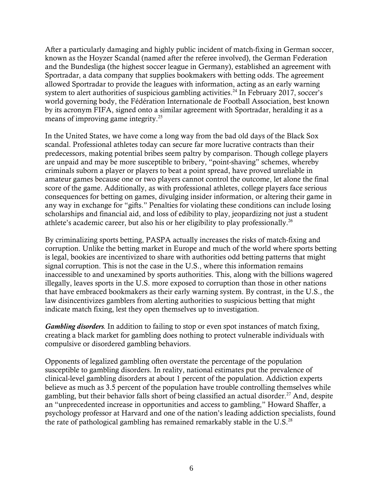After a particularly damaging and highly public incident of match-fixing in German soccer, known as the Hoyzer Scandal (named after the referee involved), the German Federation and the Bundesliga (the highest soccer league in Germany), established an agreement with Sportradar, a data company that supplies bookmakers with betting odds. The agreement allowed Sportradar to provide the leagues with information, acting as an early warning system to alert authorities of suspicious gambling activities.<sup>24</sup> In February 2017, soccer's world governing body, the Fédération Internationale de Football Association, best known by its acronym FIFA, signed onto a similar agreement with Sportradar, heralding it as a means of improving game integrity.<sup>25</sup>

In the United States, we have come a long way from the bad old days of the Black Sox scandal. Professional athletes today can secure far more lucrative contracts than their predecessors, making potential bribes seem paltry by comparison. Though college players are unpaid and may be more susceptible to bribery, "point-shaving" schemes, whereby criminals suborn a player or players to beat a point spread, have proved unreliable in amateur games because one or two players cannot control the outcome, let alone the final score of the game. Additionally, as with professional athletes, college players face serious consequences for betting on games, divulging insider information, or altering their game in any way in exchange for "gifts." Penalties for violating these conditions can include losing scholarships and financial aid, and loss of edibility to play, jeopardizing not just a student athlete's academic career, but also his or her eligibility to play professionally.<sup>26</sup>

By criminalizing sports betting, PASPA actually increases the risks of match-fixing and corruption. Unlike the betting market in Europe and much of the world where sports betting is legal, bookies are incentivized to share with authorities odd betting patterns that might signal corruption. This is not the case in the U.S., where this information remains inaccessible to and unexamined by sports authorities. This, along with the billions wagered illegally, leaves sports in the U.S. more exposed to corruption than those in other nations that have embraced bookmakers as their early warning system. By contrast, in the U.S., the law disincentivizes gamblers from alerting authorities to suspicious betting that might indicate match fixing, lest they open themselves up to investigation.

*Gambling disorders.* In addition to failing to stop or even spot instances of match fixing, creating a black market for gambling does nothing to protect vulnerable individuals with compulsive or disordered gambling behaviors.

Opponents of legalized gambling often overstate the percentage of the population susceptible to gambling disorders. In reality, national estimates put the prevalence of clinical-level gambling disorders at about 1 percent of the population. Addiction experts believe as much as 3.5 percent of the population have trouble controlling themselves while gambling, but their behavior falls short of being classified an actual disorder.<sup>27</sup> And, despite an "unprecedented increase in opportunities and access to gambling," Howard Shaffer, a psychology professor at Harvard and one of the nation's leading addiction specialists, found the rate of pathological gambling has remained remarkably stable in the U.S. $^{28}$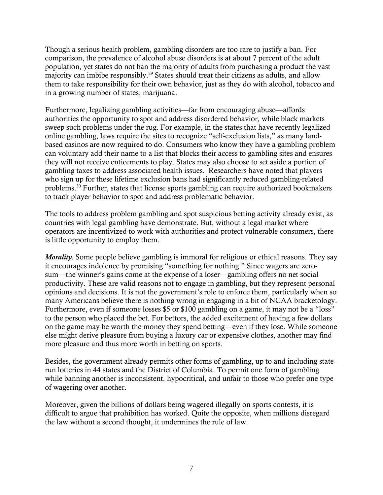Though a serious health problem, gambling disorders are too rare to justify a ban. For comparison, the prevalence of alcohol abuse disorders is at about 7 percent of the adult population, yet states do not ban the majority of adults from purchasing a product the vast majority can imbibe responsibly.<sup>29</sup> States should treat their citizens as adults, and allow them to take responsibility for their own behavior, just as they do with alcohol, tobacco and in a growing number of states, marijuana.

Furthermore, legalizing gambling activities—far from encouraging abuse—affords authorities the opportunity to spot and address disordered behavior, while black markets sweep such problems under the rug. For example, in the states that have recently legalized online gambling, laws require the sites to recognize "self-exclusion lists," as many landbased casinos are now required to do. Consumers who know they have a gambling problem can voluntary add their name to a list that blocks their access to gambling sites and ensures they will not receive enticements to play. States may also choose to set aside a portion of gambling taxes to address associated health issues. Researchers have noted that players who sign up for these lifetime exclusion bans had significantly reduced gambling-related problems.<sup>30</sup> Further, states that license sports gambling can require authorized bookmakers to track player behavior to spot and address problematic behavior.

The tools to address problem gambling and spot suspicious betting activity already exist, as countries with legal gambling have demonstrate. But, without a legal market where operators are incentivized to work with authorities and protect vulnerable consumers, there is little opportunity to employ them.

*Morality*. Some people believe gambling is immoral for religious or ethical reasons. They say it encourages indolence by promising "something for nothing." Since wagers are zerosum—the winner's gains come at the expense of a loser—gambling offers no net social productivity. These are valid reasons not to engage in gambling, but they represent personal opinions and decisions. It is not the government's role to enforce them, particularly when so many Americans believe there is nothing wrong in engaging in a bit of NCAA bracketology. Furthermore, even if someone losses \$5 or \$100 gambling on a game, it may not be a "loss" to the person who placed the bet. For bettors, the added excitement of having a few dollars on the game may be worth the money they spend betting—even if they lose. While someone else might derive pleasure from buying a luxury car or expensive clothes, another may find more pleasure and thus more worth in betting on sports.

Besides, the government already permits other forms of gambling, up to and including staterun lotteries in 44 states and the District of Columbia. To permit one form of gambling while banning another is inconsistent, hypocritical, and unfair to those who prefer one type of wagering over another.

Moreover, given the billions of dollars being wagered illegally on sports contests, it is difficult to argue that prohibition has worked. Quite the opposite, when millions disregard the law without a second thought, it undermines the rule of law.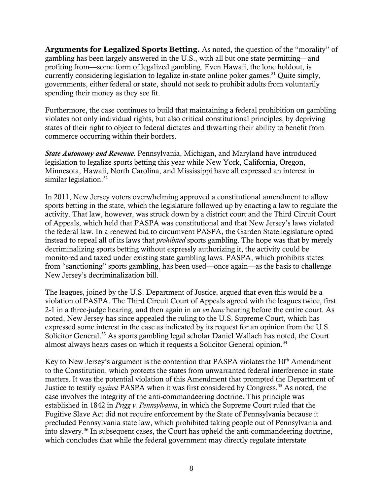**Arguments for Legalized Sports Betting**. As noted, the question of the "morality" of gambling has been largely answered in the U.S., with all but one state permitting—and profiting from—some form of legalized gambling. Even Hawaii, the lone holdout, is currently considering legislation to legalize in-state online poker games.<sup>31</sup> Quite simply, governments, either federal or state, should not seek to prohibit adults from voluntarily spending their money as they see fit.

Furthermore, the case continues to build that maintaining a federal prohibition on gambling violates not only individual rights, but also critical constitutional principles, by depriving states of their right to object to federal dictates and thwarting their ability to benefit from commerce occurring within their borders.

*State Autonomy and Revenue.* Pennsylvania, Michigan, and Maryland have introduced legislation to legalize sports betting this year while New York, California, Oregon, Minnesota, Hawaii, North Carolina, and Mississippi have all expressed an interest in similar legislation.<sup>32</sup>

In 2011, New Jersey voters overwhelming approved a constitutional amendment to allow sports betting in the state, which the legislature followed up by enacting a law to regulate the activity. That law, however, was struck down by a district court and the Third Circuit Court of Appeals, which held that PASPA was constitutional and that New Jersey's laws violated the federal law. In a renewed bid to circumvent PASPA, the Garden State legislature opted instead to repeal all of its laws that *prohibited* sports gambling. The hope was that by merely decriminalizing sports betting without expressly authorizing it, the activity could be monitored and taxed under existing state gambling laws. PASPA, which prohibits states from "sanctioning" sports gambling, has been used—once again—as the basis to challenge New Jersey's decriminalization bill.

The leagues, joined by the U.S. Department of Justice, argued that even this would be a violation of PASPA. The Third Circuit Court of Appeals agreed with the leagues twice, first 2-1 in a three-judge hearing, and then again in an *en banc* hearing before the entire court. As noted, New Jersey has since appealed the ruling to the U.S. Supreme Court, which has expressed some interest in the case as indicated by its request for an opinion from the U.S. Solicitor General.<sup>33</sup> As sports gambling legal scholar Daniel Wallach has noted, the Court almost always hears cases on which it requests a Solicitor General opinion. $34$ 

Key to New Jersey's argument is the contention that PASPA violates the  $10<sup>th</sup>$  Amendment to the Constitution, which protects the states from unwarranted federal interference in state matters. It was the potential violation of this Amendment that prompted the Department of Justice to testify *against* PASPA when it was first considered by Congress.<sup>35</sup> As noted, the case involves the integrity of the anti-commandeering doctrine. This principle was established in 1842 in *Prigg v. Pennsylvania*, in which the Supreme Court ruled that the Fugitive Slave Act did not require enforcement by the State of Pennsylvania because it precluded Pennsylvania state law, which prohibited taking people out of Pennsylvania and into slavery. <sup>36</sup> In subsequent cases, the Court has upheld the anti-commandeering doctrine, which concludes that while the federal government may directly regulate interstate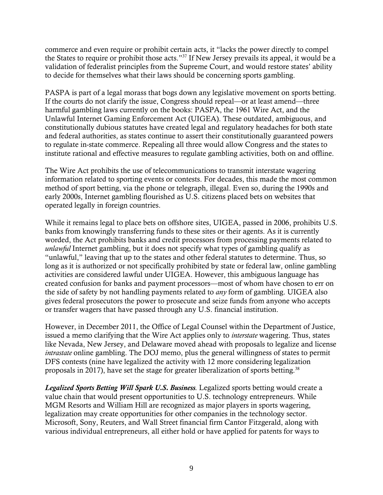commerce and even require or prohibit certain acts, it "lacks the power directly to compel the States to require or prohibit those acts."<sup>37</sup> If New Jersey prevails its appeal, it would be a validation of federalist principles from the Supreme Court, and would restore states' ability to decide for themselves what their laws should be concerning sports gambling.

PASPA is part of a legal morass that bogs down any legislative movement on sports betting. If the courts do not clarify the issue, Congress should repeal—or at least amend—three harmful gambling laws currently on the books: PASPA, the 1961 Wire Act, and the Unlawful Internet Gaming Enforcement Act (UIGEA). These outdated, ambiguous, and constitutionally dubious statutes have created legal and regulatory headaches for both state and federal authorities, as states continue to assert their constitutionally guaranteed powers to regulate in-state commerce. Repealing all three would allow Congress and the states to institute rational and effective measures to regulate gambling activities, both on and offline.

The Wire Act prohibits the use of telecommunications to transmit interstate wagering information related to sporting events or contests. For decades, this made the most common method of sport betting, via the phone or telegraph, illegal. Even so, during the 1990s and early 2000s, Internet gambling flourished as U.S. citizens placed bets on websites that operated legally in foreign countries.

While it remains legal to place bets on offshore sites, UIGEA, passed in 2006, prohibits U.S. banks from knowingly transferring funds to these sites or their agents. As it is currently worded, the Act prohibits banks and credit processors from processing payments related to *unlawful* Internet gambling, but it does not specify what types of gambling qualify as "unlawful," leaving that up to the states and other federal statutes to determine. Thus, so long as it is authorized or not specifically prohibited by state or federal law, online gambling activities are considered lawful under UIGEA. However, this ambiguous language has created confusion for banks and payment processors—most of whom have chosen to err on the side of safety by not handling payments related to *any* form of gambling. UIGEA also gives federal prosecutors the power to prosecute and seize funds from anyone who accepts or transfer wagers that have passed through any U.S. financial institution.

However, in December 2011, the Office of Legal Counsel within the Department of Justice, issued a memo clarifying that the Wire Act applies only to *interstate* wagering. Thus, states like Nevada, New Jersey, and Delaware moved ahead with proposals to legalize and license *intrastate* online gambling. The DOJ memo, plus the general willingness of states to permit DFS contests (nine have legalized the activity with 12 more considering legalization proposals in 2017), have set the stage for greater liberalization of sports betting.<sup>38</sup>

*Legalized Sports Betting Will Spark U.S. Business.* Legalized sports betting would create a value chain that would present opportunities to U.S. technology entrepreneurs. While MGM Resorts and William Hill are recognized as major players in sports wagering, legalization may create opportunities for other companies in the technology sector. Microsoft, Sony, Reuters, and Wall Street financial firm Cantor Fitzgerald, along with various individual entrepreneurs, all either hold or have applied for patents for ways to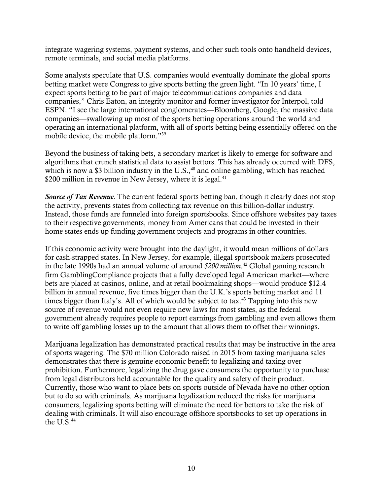integrate wagering systems, payment systems, and other such tools onto handheld devices, remote terminals, and social media platforms.

Some analysts speculate that U.S. companies would eventually dominate the global sports betting market were Congress to give sports betting the green light. "In 10 years' time, I expect sports betting to be part of major telecommunications companies and data companies," Chris Eaton, an integrity monitor and former investigator for Interpol, told ESPN. "I see the large international conglomerates—Bloomberg, Google, the massive data companies—swallowing up most of the sports betting operations around the world and operating an international platform, with all of sports betting being essentially offered on the mobile device, the mobile platform."<sup>39</sup>

Beyond the business of taking bets, a secondary market is likely to emerge for software and algorithms that crunch statistical data to assist bettors. This has already occurred with DFS, which is now a \$3 billion industry in the U.S., $40$  and online gambling, which has reached \$200 million in revenue in New Jersey, where it is legal.<sup>41</sup>

*Source of Tax Revenue.* The current federal sports betting ban, though it clearly does not stop the activity, prevents states from collecting tax revenue on this billion-dollar industry. Instead, those funds are funneled into foreign sportsbooks. Since offshore websites pay taxes to their respective governments, money from Americans that could be invested in their home states ends up funding government projects and programs in other countries.

If this economic activity were brought into the daylight, it would mean millions of dollars for cash-strapped states. In New Jersey, for example, illegal sportsbook makers prosecuted in the late 1990s had an annual volume of around *\$200 million*. <sup>42</sup> Global gaming research firm GamblingCompliance projects that a fully developed legal American market—where bets are placed at casinos, online, and at retail bookmaking shops—would produce \$12.4 billion in annual revenue, five times bigger than the U.K.'s sports betting market and 11 times bigger than Italy's. All of which would be subject to tax.<sup>43</sup> Tapping into this new source of revenue would not even require new laws for most states, as the federal government already requires people to report earnings from gambling and even allows them to write off gambling losses up to the amount that allows them to offset their winnings.

Marijuana legalization has demonstrated practical results that may be instructive in the area of sports wagering. The \$70 million Colorado raised in 2015 from taxing marijuana sales demonstrates that there is genuine economic benefit to legalizing and taxing over prohibition. Furthermore, legalizing the drug gave consumers the opportunity to purchase from legal distributors held accountable for the quality and safety of their product. Currently, those who want to place bets on sports outside of Nevada have no other option but to do so with criminals. As marijuana legalization reduced the risks for marijuana consumers, legalizing sports betting will eliminate the need for bettors to take the risk of dealing with criminals. It will also encourage offshore sportsbooks to set up operations in the U.S. $44$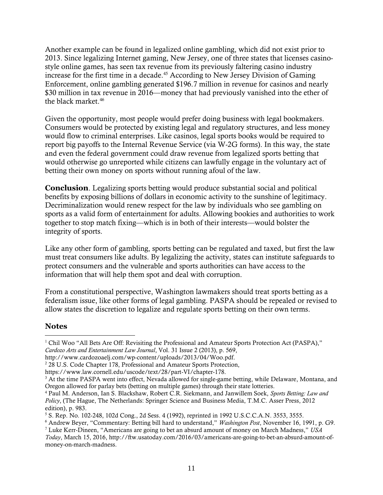Another example can be found in legalized online gambling, which did not exist prior to 2013. Since legalizing Internet gaming, New Jersey, one of three states that licenses casinostyle online games, has seen tax revenue from its previously faltering casino industry increase for the first time in a decade.<sup>45</sup> According to New Jersey Division of Gaming Enforcement, online gambling generated \$196.7 million in revenue for casinos and nearly \$30 million in tax revenue in 2016—money that had previously vanished into the ether of the black market.<sup>46</sup>

Given the opportunity, most people would prefer doing business with legal bookmakers. Consumers would be protected by existing legal and regulatory structures, and less money would flow to criminal enterprises. Like casinos, legal sports books would be required to report big payoffs to the Internal Revenue Service (via W-2G forms). In this way, the state and even the federal government could draw revenue from legalized sports betting that would otherwise go unreported while citizens can lawfully engage in the voluntary act of betting their own money on sports without running afoul of the law.

**Conclusion**. Legalizing sports betting would produce substantial social and political benefits by exposing billions of dollars in economic activity to the sunshine of legitimacy. Decriminalization would renew respect for the law by individuals who see gambling on sports as a valid form of entertainment for adults. Allowing bookies and authorities to work together to stop match fixing—which is in both of their interests—would bolster the integrity of sports.

Like any other form of gambling, sports betting can be regulated and taxed, but first the law must treat consumers like adults. By legalizing the activity, states can institute safeguards to protect consumers and the vulnerable and sports authorities can have access to the information that will help them spot and deal with corruption.

From a constitutional perspective, Washington lawmakers should treat sports betting as a federalism issue, like other forms of legal gambling. PASPA should be repealed or revised to allow states the discretion to legalize and regulate sports betting on their own terms.

## **Notes**

 $\overline{a}$ 

<sup>&</sup>lt;sup>1</sup> Chil Woo "All Bets Are Off: Revisiting the Professional and Amateur Sports Protection Act (PASPA)," *Cardozo Arts and Entertainment Law Journal*, Vol. 31 Issue 2 (2013), p. 569,

http://www.cardozoaelj.com/wp-content/uploads/2013/04/Woo.pdf.

<sup>&</sup>lt;sup>2</sup> 28 U.S. Code Chapter 178, Professional and Amateur Sports Protection,

https://www.law.cornell.edu/uscode/text/28/part-VI/chapter-178.

<sup>&</sup>lt;sup>3</sup> At the time PASPA went into effect, Nevada allowed for single-game betting, while Delaware, Montana, and Oregon allowed for parlay bets (betting on multiple games) through their state lotteries.

<sup>4</sup> Paul M. Anderson, Ian S. Blackshaw, Robert C.R. Siekmann, and Janwillem Soek, *Sports Betting: Law and Policy*, (The Hague, The Netherlands: Springer Science and Business Media, T.M.C. Asser Press, 2012 edition), p. 983.

<sup>5</sup> S. Rep. No. 102-248, 102d Cong., 2d Sess. 4 (1992), reprinted in 1992 U.S.C.C.A.N. 3553, 3555.

<sup>6</sup> Andrew Beyer, "Commentary: Betting bill hard to understand," *Washington Post*, November 16, 1991, p. G9.

<sup>7</sup> Luke Kerr-Dineen, "Americans are going to bet an absurd amount of money on March Madness," *USA Today*, March 15, 2016, http://ftw.usatoday.com/2016/03/americans-are-going-to-bet-an-absurd-amount-ofmoney-on-march-madness.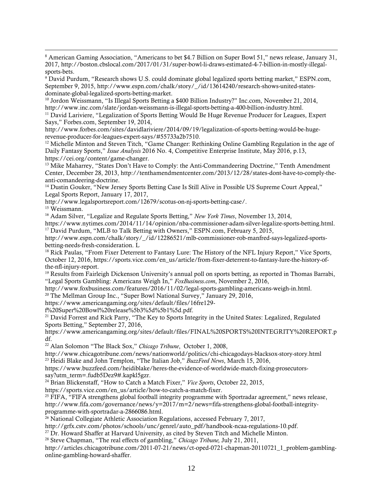<sup>8</sup> American Gaming Association, "Americans to bet \$4.7 Billion on Super Bowl 51," news release, January 31, 2017, http://boston.cbslocal.com/2017/01/31/super-bowl-li-draws-estimated-4-7-billion-in-mostly-illegalsports-bets.

<sup>9</sup> David Purdum, "Research shows U.S. could dominate global legalized sports betting market," ESPN.com, September 9, 2015, http://www.espn.com/chalk/story/\_/id/13614240/research-shows-united-statesdominate-global-legalized-sports-betting-market.

<sup>10</sup> Jordon Weissmann, "Is Illegal Sports Betting a \$400 Billion Industry?" Inc.com, November 21, 2014, http://www.inc.com/slate/jordan-weissmann-is-illegal-sports-betting-a-400-billion-industry.html.

<sup>11</sup> David Lariviere, "Legalization of Sports Betting Would Be Huge Revenue Producer for Leagues, Expert Says," Forbes.com, September 19, 2014,

http://www.forbes.com/sites/davidlariviere/2014/09/19/legalization-of-sports-betting-would-be-hugerevenue-producer-for-leagues-expert-says/#55733a2b7510.

<sup>12</sup> Michelle Minton and Steven Titch, "Game Changer: Rethinking Online Gambling Regulation in the age of Daily Fantasy Sports," *Issue Analysis* 2016 No. 4, Competitive Enterprise Institute, May 2016, p.13, https://cei.org/content/game-changer.

<sup>13</sup> Mike Maharrey, "States Don't Have to Comply: the Anti-Commandeering Doctrine," Tenth Amendment Center, December 28, 2013, http://tenthamendmentcenter.com/2013/12/28/states-dont-have-to-comply-theanti-comandeering-doctrine.

<sup>14</sup> Dustin Gouker, "New Jersey Sports Betting Case Is Still Alive in Possible US Supreme Court Appeal," Legal Sports Report, January 17, 2017,

http://www.legalsportsreport.com/12679/scotus-on-nj-sports-betting-case/.

<sup>15</sup> Weissmann.

 $\overline{a}$ 

<sup>16</sup> Adam Silver, "Legalize and Regulate Sports Betting," *New York Times*, November 13, 2014,

https://www.nytimes.com/2014/11/14/opinion/nba-commissioner-adam-silver-legalize-sports-betting.html. <sup>17</sup> David Purdum, "MLB to Talk Betting with Owners," ESPN.com, February 5, 2015,

http://www.espn.com/chalk/story/\_/id/12286521/mlb-commissioner-rob-manfred-says-legalized-sportsbetting-needs-fresh-consideration. L

<sup>18</sup> Rick Paulas, "From Fixer Deterrent to Fantasy Lure: The History of the NFL Injury Report," Vice Sports, October 12, 2016, https://sports.vice.com/en\_us/article/from-fixer-deterrent-to-fantasy-lure-the-history-ofthe-nfl-injury-report.

<sup>19</sup> Results from Fairleigh Dickenson University's annual poll on sports betting, as reported in Thomas Barrabi, "Legal Sports Gambling: Americans Weigh In," *FoxBusiness.com*, November 2, 2016,

http://www.foxbusiness.com/features/2016/11/02/legal-sports-gambling-americans-weigh-in.html.

<sup>20</sup> The Mellman Group Inc., "Super Bowl National Survey," January 29, 2016,

https://www.americangaming.org/sites/default/files/16fre129-

f%20Super%20Bowl%20release%5b3%5d%5b1%5d.pdf.

<sup>21</sup> David Forrest and Rick Parry, "The Key to Sports Integrity in the United States: Legalized, Regulated Sports Betting," September 27, 2016,

https://www.americangaming.org/sites/default/files/FINAL%20SPORTS%20INTEGRITY%20REPORT.p df.

<sup>22</sup> Alan Solomon "The Black Sox," *Chicago Tribune*, October 1, 2008,

http://www.chicagotribune.com/news/nationworld/politics/chi-chicagodays-blacksox-story-story.html <sup>23</sup> Heidi Blake and John Templon, "The Italian Job," *BuzzFeed News*, March 15, 2016,

https://www.buzzfeed.com/heidiblake/heres-the-evidence-of-worldwide-match-fixing-prosecutorssay?utm\_term=.fudb5Dez9#.kapkl5gzr.

<sup>24</sup> Brian Blickenstaff, "How to Catch a Match Fixer," *Vice Sports*, October 22, 2015,

https://sports.vice.com/en\_us/article/how-to-catch-a-match-fixer.

<sup>25</sup> FIFA, "FIFA strengthens global football integrity programme with Sportradar agreement," news release, http://www.fifa.com/governance/news/y=2017/m=2/news=fifa-strengthens-global-football-integrityprogramme-with-sportradar-a-2866086.html.

<sup>26</sup> National Collegiate Athletic Association Regulations, accessed February 7, 2017,

http://grfx.cstv.com/photos/schools/unc/genrel/auto\_pdf/handbook-ncaa-regulations-10.pdf.

<sup>27</sup> Dr. Howard Shaffer at Harvard University, as cited by Steven Titch and Michelle Minton.

<sup>28</sup> Steve Chapman, "The real effects of gambling," *Chicago Tribune,* July 21, 2011,

http://articles.chicagotribune.com/2011-07-21/news/ct-oped-0721-chapman-20110721\_1\_problem-gamblingonline-gambling-howard-shaffer.